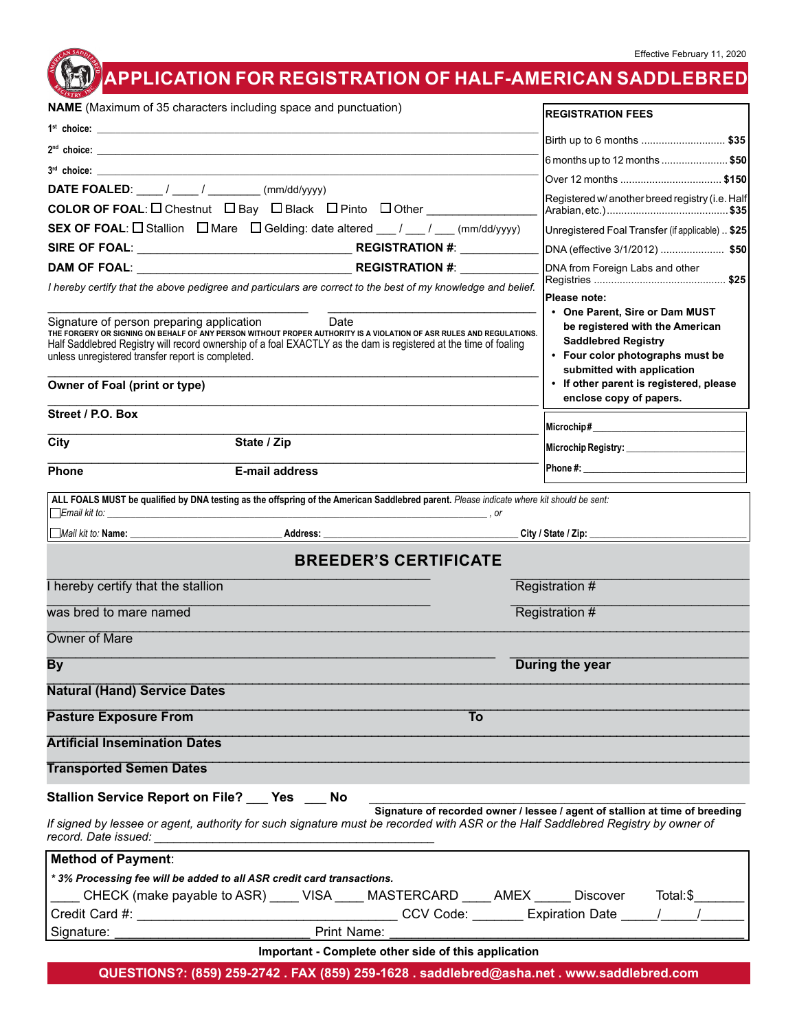## **APPLICATION FOR REGISTRATION OF HALF-AMERICAN SADDLEBRED**

Effective February 11, 2020

| <b>NAME</b> (Maximum of 35 characters including space and punctuation) |                                                                                                                                                                                                                                                                                       | <b>REGISTRATION FEES</b>                                                                                                        |
|------------------------------------------------------------------------|---------------------------------------------------------------------------------------------------------------------------------------------------------------------------------------------------------------------------------------------------------------------------------------|---------------------------------------------------------------------------------------------------------------------------------|
|                                                                        |                                                                                                                                                                                                                                                                                       |                                                                                                                                 |
|                                                                        |                                                                                                                                                                                                                                                                                       | Birth up to 6 months  \$35                                                                                                      |
|                                                                        | $3rd$ choice: $\overline{\phantom{a}}$                                                                                                                                                                                                                                                | 6 months up to 12 months \$50                                                                                                   |
|                                                                        | <b>DATE FOALED:</b> $\frac{1}{\sqrt{1-\frac{1}{2}}}\left(\frac{mm}{dd/yyyy}\right)$                                                                                                                                                                                                   | Registered w/ another breed registry (i.e. Half                                                                                 |
|                                                                        | COLOR OF FOAL: □ Chestnut □ Bay □ Black □ Pinto □ Other                                                                                                                                                                                                                               |                                                                                                                                 |
|                                                                        | <b>SEX OF FOAL:</b> $\Box$ Stallion $\Box$ Mare $\Box$ Gelding: date altered ___ / ___ / ___ (mm/dd/yyyy)                                                                                                                                                                             | Unregistered Foal Transfer (if applicable)  \$25                                                                                |
|                                                                        |                                                                                                                                                                                                                                                                                       | DNA (effective 3/1/2012)  \$50                                                                                                  |
|                                                                        |                                                                                                                                                                                                                                                                                       | DNA from Foreign Labs and other                                                                                                 |
|                                                                        | I hereby certify that the above pedigree and particulars are correct to the best of my knowledge and belief.                                                                                                                                                                          |                                                                                                                                 |
|                                                                        |                                                                                                                                                                                                                                                                                       | Please note:<br>• One Parent, Sire or Dam MUST                                                                                  |
| unless unregistered transfer report is completed.                      | Signature of person preparing application<br>THE FORGERY OR SIGNING ON BEHALF OF ANY PERSON WITHOUT PROPER AUTHORITY IS A VIOLATION OF ASR RULES AND REGULATIONS.<br>Half Saddlebred Registry will record ownership of a foal EXACTLY as the dam is registered at the time of foaling | be registered with the American<br><b>Saddlebred Registry</b><br>• Four color photographs must be<br>submitted with application |
| Owner of Foal (print or type)                                          |                                                                                                                                                                                                                                                                                       | • If other parent is registered, please<br>enclose copy of papers.                                                              |
| Street / P.O. Box                                                      |                                                                                                                                                                                                                                                                                       |                                                                                                                                 |
| City                                                                   | State / Zip                                                                                                                                                                                                                                                                           |                                                                                                                                 |
|                                                                        |                                                                                                                                                                                                                                                                                       |                                                                                                                                 |
| Phone                                                                  | <b>E-mail address</b>                                                                                                                                                                                                                                                                 |                                                                                                                                 |
|                                                                        | ALL FOALS MUST be qualified by DNA testing as the offspring of the American Saddlebred parent. Please indicate where kit should be sent:                                                                                                                                              |                                                                                                                                 |
|                                                                        |                                                                                                                                                                                                                                                                                       | City / State / Zip: _______________                                                                                             |
|                                                                        | <b>BREEDER'S CERTIFICATE</b>                                                                                                                                                                                                                                                          |                                                                                                                                 |
| I hereby certify that the stallion                                     |                                                                                                                                                                                                                                                                                       | Registration #                                                                                                                  |
| was bred to mare named                                                 |                                                                                                                                                                                                                                                                                       | Registration #                                                                                                                  |
| <b>Owner of Mare</b>                                                   |                                                                                                                                                                                                                                                                                       |                                                                                                                                 |
| By                                                                     |                                                                                                                                                                                                                                                                                       | During the year                                                                                                                 |
| <b>Natural (Hand) Service Dates</b>                                    |                                                                                                                                                                                                                                                                                       |                                                                                                                                 |
| <b>Pasture Exposure From</b>                                           | To                                                                                                                                                                                                                                                                                    |                                                                                                                                 |
| <b>Artificial Insemination Dates</b>                                   |                                                                                                                                                                                                                                                                                       |                                                                                                                                 |
| <b>Transported Semen Dates</b>                                         |                                                                                                                                                                                                                                                                                       |                                                                                                                                 |
|                                                                        | Stallion Service Report on File? Pes No                                                                                                                                                                                                                                               |                                                                                                                                 |
|                                                                        | If signed by lessee or agent, authority for such signature must be recorded with ASR or the Half Saddlebred Registry by owner of                                                                                                                                                      | Signature of recorded owner / lessee / agent of stallion at time of breeding                                                    |
| <b>Method of Payment:</b>                                              |                                                                                                                                                                                                                                                                                       |                                                                                                                                 |
|                                                                        | *3% Processing fee will be added to all ASR credit card transactions.                                                                                                                                                                                                                 |                                                                                                                                 |
|                                                                        | CHECK (make payable to ASR) _____ VISA _____ MASTERCARD _____AMEX ______ Discover Total:\$______                                                                                                                                                                                      |                                                                                                                                 |
|                                                                        |                                                                                                                                                                                                                                                                                       |                                                                                                                                 |
| Signature:                                                             | Print Name:                                                                                                                                                                                                                                                                           |                                                                                                                                 |
|                                                                        | Important - Complete other side of this application                                                                                                                                                                                                                                   |                                                                                                                                 |

**QUESTIONS?: (859) 259-2742 . FAX (859) 259-1628 . saddlebred@asha.net . www.saddlebred.com**